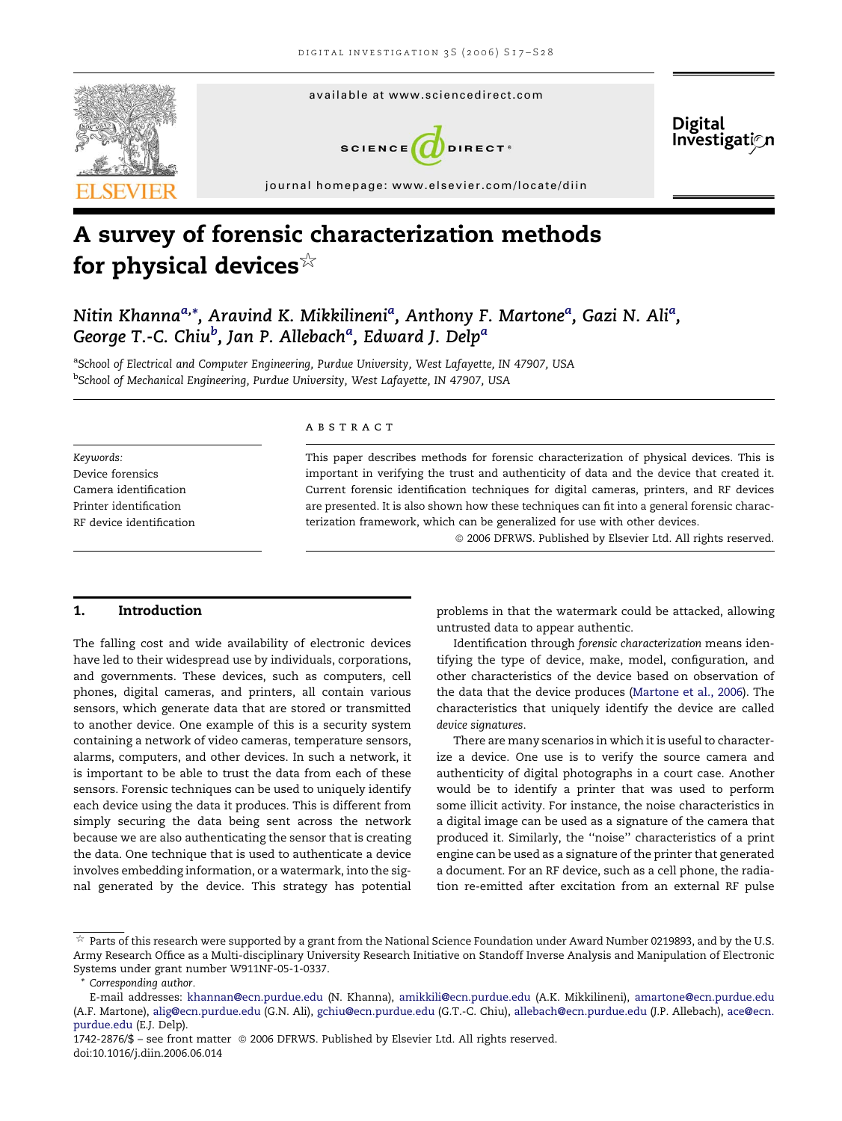

# A survey of forensic characterization methods for physical devices $\mathbb{X}$

# Nitin Khanna<sup>a,</sup>\*, Aravind K. Mikkilineni<sup>a</sup>, Anthony F. Martone<sup>a</sup>, Gazi N. Ali<sup>a</sup>, George T.-C. Chiu $^b$ , Jan P. Allebach $^a$ , Edward J. Delp $^a$

<sup>a</sup>School of Electrical and Computer Engineering, Purdue University, West Lafayette, IN 47907, USA <sup>b</sup>School of Mechanical Engineering, Purdue University, West Lafayette, IN 47907, USA

# Keywords: Device forensics Camera identification Printer identification RF device identification

#### abstract

This paper describes methods for forensic characterization of physical devices. This is important in verifying the trust and authenticity of data and the device that created it. Current forensic identification techniques for digital cameras, printers, and RF devices are presented. It is also shown how these techniques can fit into a general forensic characterization framework, which can be generalized for use with other devices.

 $©$  2006 DFRWS. Published by Elsevier Ltd. All rights reserved.

# 1. Introduction

The falling cost and wide availability of electronic devices have led to their widespread use by individuals, corporations, and governments. These devices, such as computers, cell phones, digital cameras, and printers, all contain various sensors, which generate data that are stored or transmitted to another device. One example of this is a security system containing a network of video cameras, temperature sensors, alarms, computers, and other devices. In such a network, it is important to be able to trust the data from each of these sensors. Forensic techniques can be used to uniquely identify each device using the data it produces. This is different from simply securing the data being sent across the network because we are also authenticating the sensor that is creating the data. One technique that is used to authenticate a device involves embedding information, or a watermark, into the signal generated by the device. This strategy has potential

problems in that the watermark could be attacked, allowing untrusted data to appear authentic.

Identification through forensic characterization means identifying the type of device, make, model, configuration, and other characteristics of the device based on observation of the data that the device produces ([Martone et al., 2006](#page-10-0)). The characteristics that uniquely identify the device are called device signatures.

There are many scenarios in which it is useful to characterize a device. One use is to verify the source camera and authenticity of digital photographs in a court case. Another would be to identify a printer that was used to perform some illicit activity. For instance, the noise characteristics in a digital image can be used as a signature of the camera that produced it. Similarly, the ''noise'' characteristics of a print engine can be used as a signature of the printer that generated a document. For an RF device, such as a cell phone, the radiation re-emitted after excitation from an external RF pulse

 $\overline{\ast}$  Parts of this research were supported by a grant from the National Science Foundation under Award Number 0219893, and by the U.S. Army Research Office as a Multi-disciplinary University Research Initiative on Standoff Inverse Analysis and Manipulation of Electronic Systems under grant number W911NF-05-1-0337.

Corresponding author.

E-mail addresses: [khannan@ecn.purdue.edu](mailto:khannan@ecn.purdue.edu) (N. Khanna), [amikkili@ecn.purdue.edu](mailto:amikkili@ecn.purdue.edu) (A.K. Mikkilineni), [amartone@ecn.purdue.edu](mailto:amartone@ecn.purdue.edu) (A.F. Martone), [alig@ecn.purdue.edu](mailto:alig@ecn.purdue.edu) (G.N. Ali), [gchiu@ecn.purdue.edu](mailto:gchiu@ecn.purdue.edu) (G.T.-C. Chiu), [allebach@ecn.purdue.edu](mailto:allebach@ecn.purdue.edu) (J.P. Allebach), [ace@ecn.](mailto:ace@ecn.purdue.edu) [purdue.edu](mailto:ace@ecn.purdue.edu) (E.J. Delp).

<sup>1742-2876/\$ -</sup> see front matter © 2006 DFRWS. Published by Elsevier Ltd. All rights reserved. doi:10.1016/j.diin.2006.06.014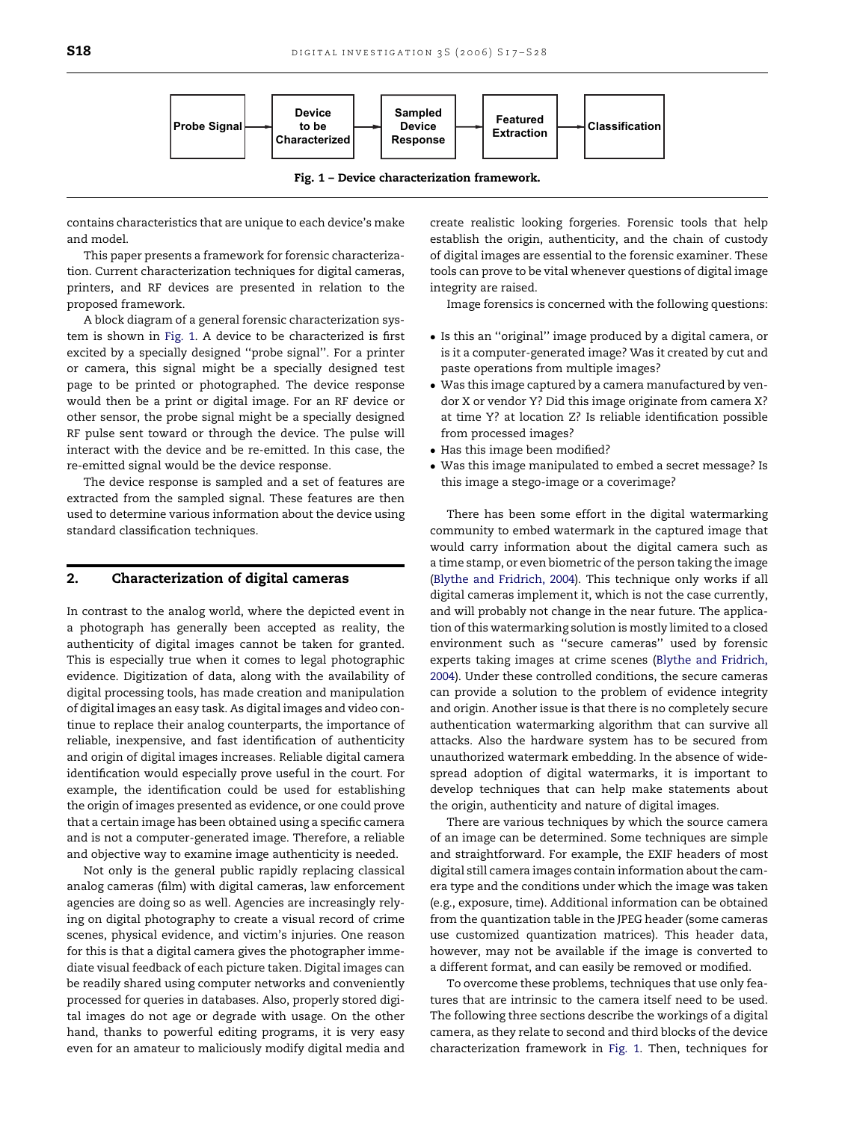<span id="page-1-0"></span>

contains characteristics that are unique to each device's make and model.

This paper presents a framework for forensic characterization. Current characterization techniques for digital cameras, printers, and RF devices are presented in relation to the proposed framework.

A block diagram of a general forensic characterization system is shown in Fig. 1. A device to be characterized is first excited by a specially designed ''probe signal''. For a printer or camera, this signal might be a specially designed test page to be printed or photographed. The device response would then be a print or digital image. For an RF device or other sensor, the probe signal might be a specially designed RF pulse sent toward or through the device. The pulse will interact with the device and be re-emitted. In this case, the re-emitted signal would be the device response.

The device response is sampled and a set of features are extracted from the sampled signal. These features are then used to determine various information about the device using standard classification techniques.

# 2. Characterization of digital cameras

In contrast to the analog world, where the depicted event in a photograph has generally been accepted as reality, the authenticity of digital images cannot be taken for granted. This is especially true when it comes to legal photographic evidence. Digitization of data, along with the availability of digital processing tools, has made creation and manipulation of digital images an easy task. As digital images and video continue to replace their analog counterparts, the importance of reliable, inexpensive, and fast identification of authenticity and origin of digital images increases. Reliable digital camera identification would especially prove useful in the court. For example, the identification could be used for establishing the origin of images presented as evidence, or one could prove that a certain image has been obtained using a specific camera and is not a computer-generated image. Therefore, a reliable and objective way to examine image authenticity is needed.

Not only is the general public rapidly replacing classical analog cameras (film) with digital cameras, law enforcement agencies are doing so as well. Agencies are increasingly relying on digital photography to create a visual record of crime scenes, physical evidence, and victim's injuries. One reason for this is that a digital camera gives the photographer immediate visual feedback of each picture taken. Digital images can be readily shared using computer networks and conveniently processed for queries in databases. Also, properly stored digital images do not age or degrade with usage. On the other hand, thanks to powerful editing programs, it is very easy even for an amateur to maliciously modify digital media and

create realistic looking forgeries. Forensic tools that help establish the origin, authenticity, and the chain of custody of digital images are essential to the forensic examiner. These tools can prove to be vital whenever questions of digital image integrity are raised.

Image forensics is concerned with the following questions:

- Is this an ''original'' image produced by a digital camera, or is it a computer-generated image? Was it created by cut and paste operations from multiple images?
- Was this image captured by a camera manufactured by vendor X or vendor Y? Did this image originate from camera X? at time Y? at location Z? Is reliable identification possible from processed images?
- Has this image been modified?
- Was this image manipulated to embed a secret message? Is this image a stego-image or a coverimage?

There has been some effort in the digital watermarking community to embed watermark in the captured image that would carry information about the digital camera such as a time stamp, or even biometric of the person taking the image ([Blythe and Fridrich, 2004\)](#page-9-0). This technique only works if all digital cameras implement it, which is not the case currently, and will probably not change in the near future. The application of this watermarking solution is mostly limited to a closed environment such as ''secure cameras'' used by forensic experts taking images at crime scenes [\(Blythe and Fridrich,](#page-9-0) [2004\)](#page-9-0). Under these controlled conditions, the secure cameras can provide a solution to the problem of evidence integrity and origin. Another issue is that there is no completely secure authentication watermarking algorithm that can survive all attacks. Also the hardware system has to be secured from unauthorized watermark embedding. In the absence of widespread adoption of digital watermarks, it is important to develop techniques that can help make statements about the origin, authenticity and nature of digital images.

There are various techniques by which the source camera of an image can be determined. Some techniques are simple and straightforward. For example, the EXIF headers of most digital still camera images contain information about the camera type and the conditions under which the image was taken (e.g., exposure, time). Additional information can be obtained from the quantization table in the JPEG header (some cameras use customized quantization matrices). This header data, however, may not be available if the image is converted to a different format, and can easily be removed or modified.

To overcome these problems, techniques that use only features that are intrinsic to the camera itself need to be used. The following three sections describe the workings of a digital camera, as they relate to second and third blocks of the device characterization framework in Fig. 1. Then, techniques for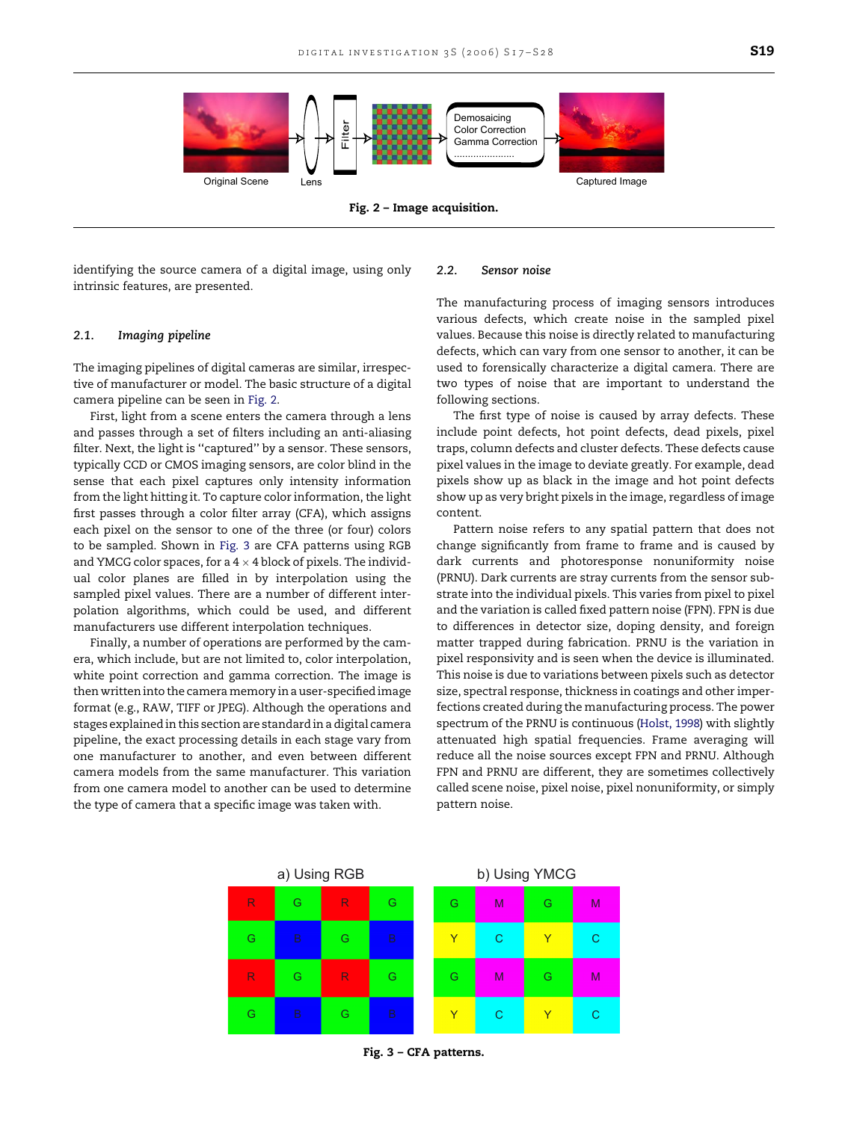

identifying the source camera of a digital image, using only intrinsic features, are presented.

#### 2.1. Imaging pipeline

The imaging pipelines of digital cameras are similar, irrespective of manufacturer or model. The basic structure of a digital camera pipeline can be seen in Fig. 2.

First, light from a scene enters the camera through a lens and passes through a set of filters including an anti-aliasing filter. Next, the light is ''captured'' by a sensor. These sensors, typically CCD or CMOS imaging sensors, are color blind in the sense that each pixel captures only intensity information from the light hitting it. To capture color information, the light first passes through a color filter array (CFA), which assigns each pixel on the sensor to one of the three (or four) colors to be sampled. Shown in Fig. 3 are CFA patterns using RGB and YMCG color spaces, for a 4  $\times$  4 block of pixels. The individual color planes are filled in by interpolation using the sampled pixel values. There are a number of different interpolation algorithms, which could be used, and different manufacturers use different interpolation techniques.

Finally, a number of operations are performed by the camera, which include, but are not limited to, color interpolation, white point correction and gamma correction. The image is then written into the camera memory in a user-specified image format (e.g., RAW, TIFF or JPEG). Although the operations and stages explained in this section are standard in a digital camera pipeline, the exact processing details in each stage vary from one manufacturer to another, and even between different camera models from the same manufacturer. This variation from one camera model to another can be used to determine the type of camera that a specific image was taken with.

### 2.2. Sensor noise

The manufacturing process of imaging sensors introduces various defects, which create noise in the sampled pixel values. Because this noise is directly related to manufacturing defects, which can vary from one sensor to another, it can be used to forensically characterize a digital camera. There are two types of noise that are important to understand the following sections.

The first type of noise is caused by array defects. These include point defects, hot point defects, dead pixels, pixel traps, column defects and cluster defects. These defects cause pixel values in the image to deviate greatly. For example, dead pixels show up as black in the image and hot point defects show up as very bright pixels in the image, regardless of image content.

Pattern noise refers to any spatial pattern that does not change significantly from frame to frame and is caused by dark currents and photoresponse nonuniformity noise (PRNU). Dark currents are stray currents from the sensor substrate into the individual pixels. This varies from pixel to pixel and the variation is called fixed pattern noise (FPN). FPN is due to differences in detector size, doping density, and foreign matter trapped during fabrication. PRNU is the variation in pixel responsivity and is seen when the device is illuminated. This noise is due to variations between pixels such as detector size, spectral response, thickness in coatings and other imperfections created during the manufacturing process. The power spectrum of the PRNU is continuous ([Holst, 1998](#page-10-0)) with slightly attenuated high spatial frequencies. Frame averaging will reduce all the noise sources except FPN and PRNU. Although FPN and PRNU are different, they are sometimes collectively called scene noise, pixel noise, pixel nonuniformity, or simply pattern noise.



Fig. 3 – CFA patterns.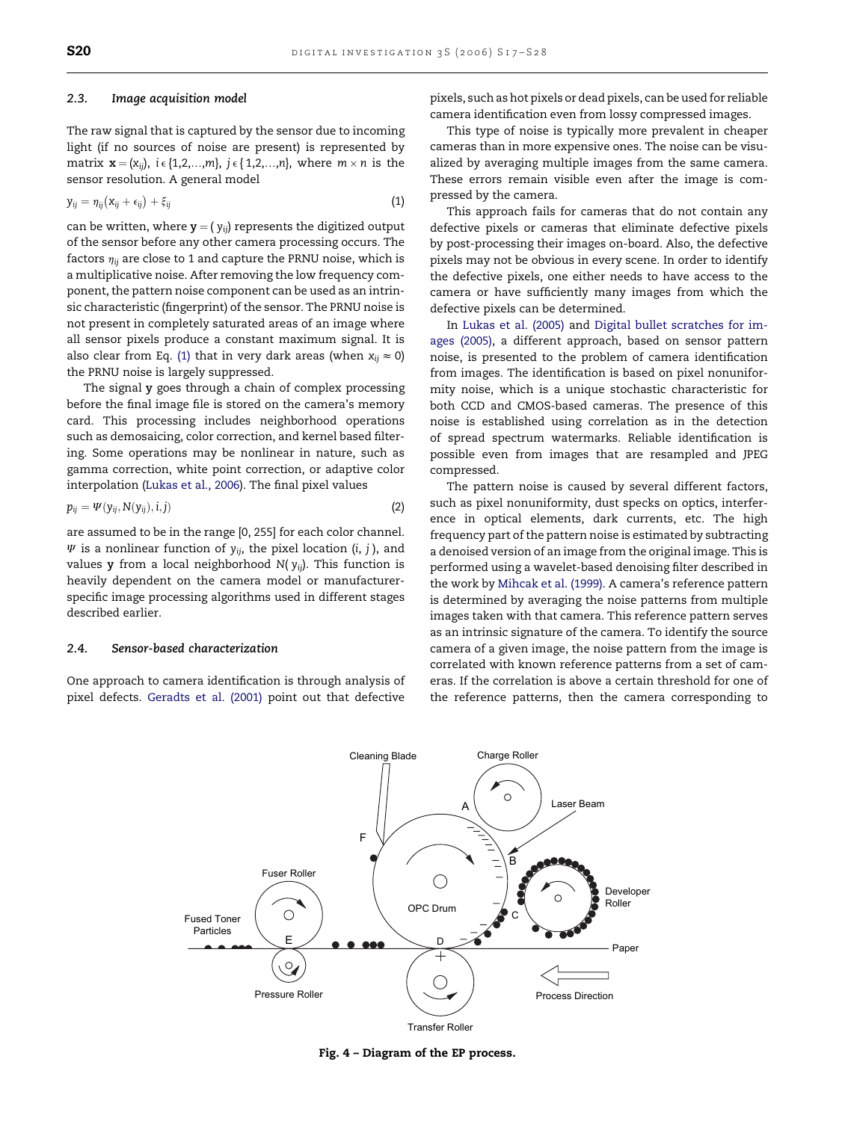#### <span id="page-3-0"></span>2.3. Image acquisition model

The raw signal that is captured by the sensor due to incoming light (if no sources of noise are present) is represented by matrix  $\mathbf{x} = (x_{ij}), i \in \{1,2,...,m\}, j \in \{1,2,...,n\},$  where  $m \times n$  is the sensor resolution. A general model

$$
y_{ij} = \eta_{ij} (x_{ij} + \epsilon_{ij}) + \xi_{ij}
$$
 (1)

can be written, where  $y = (y_{ii})$  represents the digitized output of the sensor before any other camera processing occurs. The factors  $\eta_{ii}$  are close to 1 and capture the PRNU noise, which is a multiplicative noise. After removing the low frequency component, the pattern noise component can be used as an intrinsic characteristic (fingerprint) of the sensor. The PRNU noise is not present in completely saturated areas of an image where all sensor pixels produce a constant maximum signal. It is also clear from Eq. (1) that in very dark areas (when  $x_{ij} \approx 0$ ) the PRNU noise is largely suppressed.

The signal y goes through a chain of complex processing before the final image file is stored on the camera's memory card. This processing includes neighborhood operations such as demosaicing, color correction, and kernel based filtering. Some operations may be nonlinear in nature, such as gamma correction, white point correction, or adaptive color interpolation [\(Lukas et al., 2006\)](#page-10-0). The final pixel values

$$
p_{ij} = \Psi(y_{ij}, N(y_{ij}), i, j) \tag{2}
$$

are assumed to be in the range [0, 255] for each color channel.  $\Psi$  is a nonlinear function of  $y_{ij}$ , the pixel location (i, j), and values **y** from a local neighborhood  $N(y_{ij})$ . This function is heavily dependent on the camera model or manufacturerspecific image processing algorithms used in different stages described earlier.

#### 2.4. Sensor-based characterization

One approach to camera identification is through analysis of pixel defects. [Geradts et al. \(2001\)](#page-10-0) point out that defective pixels, such as hot pixels or dead pixels, can be used for reliable camera identification even from lossy compressed images.

This type of noise is typically more prevalent in cheaper cameras than in more expensive ones. The noise can be visualized by averaging multiple images from the same camera. These errors remain visible even after the image is compressed by the camera.

This approach fails for cameras that do not contain any defective pixels or cameras that eliminate defective pixels by post-processing their images on-board. Also, the defective pixels may not be obvious in every scene. In order to identify the defective pixels, one either needs to have access to the camera or have sufficiently many images from which the defective pixels can be determined.

In [Lukas et al. \(2005\)](#page-10-0) and [Digital bullet scratches for im](#page-10-0)[ages \(2005\)](#page-10-0), a different approach, based on sensor pattern noise, is presented to the problem of camera identification from images. The identification is based on pixel nonuniformity noise, which is a unique stochastic characteristic for both CCD and CMOS-based cameras. The presence of this noise is established using correlation as in the detection of spread spectrum watermarks. Reliable identification is possible even from images that are resampled and JPEG compressed.

The pattern noise is caused by several different factors, such as pixel nonuniformity, dust specks on optics, interference in optical elements, dark currents, etc. The high frequency part of the pattern noise is estimated by subtracting a denoised version of an image from the original image. This is performed using a wavelet-based denoising filter described in the work by [Mihcak et al. \(1999\)](#page-10-0). A camera's reference pattern is determined by averaging the noise patterns from multiple images taken with that camera. This reference pattern serves as an intrinsic signature of the camera. To identify the source camera of a given image, the noise pattern from the image is correlated with known reference patterns from a set of cameras. If the correlation is above a certain threshold for one of the reference patterns, then the camera corresponding to



Fig. 4 – Diagram of the EP process.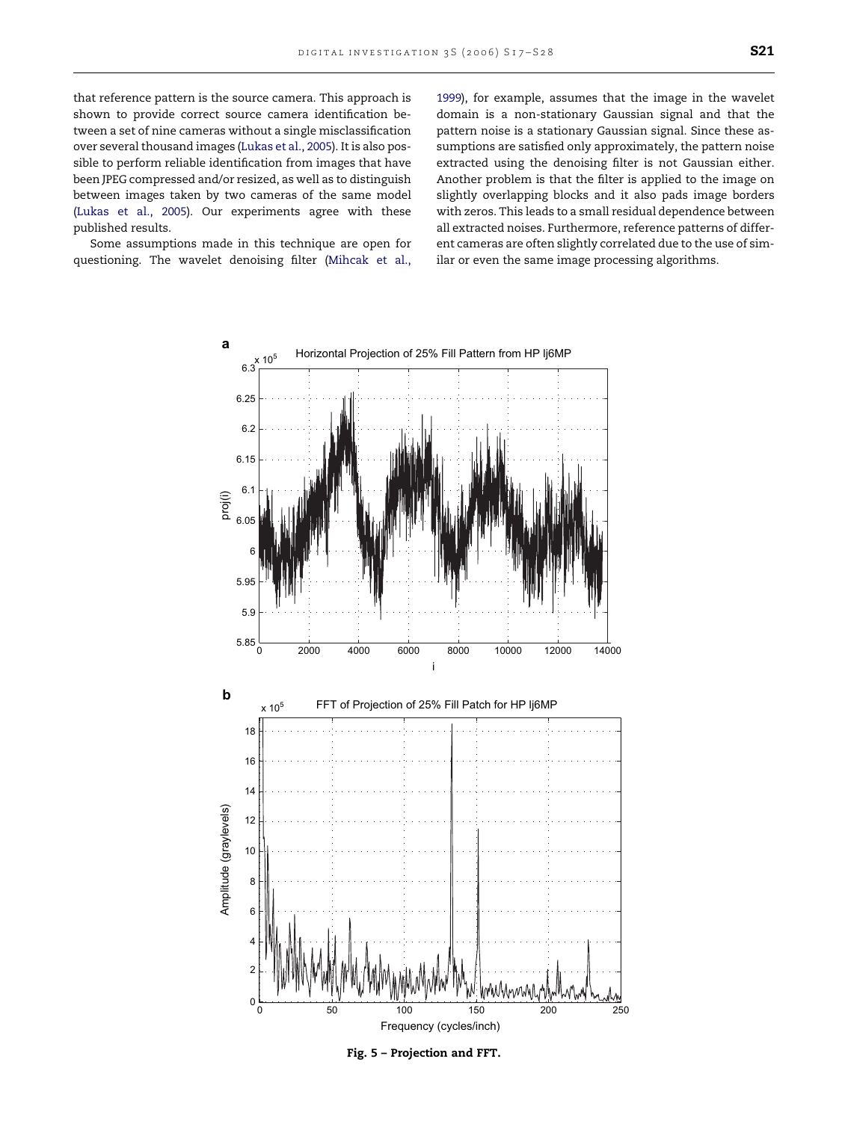<span id="page-4-0"></span>that reference pattern is the source camera. This approach is shown to provide correct source camera identification between a set of nine cameras without a single misclassification over several thousand images ([Lukas et al., 2005\)](#page-10-0). It is also possible to perform reliable identification from images that have been JPEG compressed and/or resized, as well as to distinguish between images taken by two cameras of the same model [\(Lukas et al., 2005](#page-10-0)). Our experiments agree with these published results.

Some assumptions made in this technique are open for questioning. The wavelet denoising filter [\(Mihcak et al.,](#page-10-0)

[1999](#page-10-0)), for example, assumes that the image in the wavelet domain is a non-stationary Gaussian signal and that the pattern noise is a stationary Gaussian signal. Since these assumptions are satisfied only approximately, the pattern noise extracted using the denoising filter is not Gaussian either. Another problem is that the filter is applied to the image on slightly overlapping blocks and it also pads image borders with zeros. This leads to a small residual dependence between all extracted noises. Furthermore, reference patterns of different cameras are often slightly correlated due to the use of similar or even the same image processing algorithms.



Fig. 5 – Projection and FFT.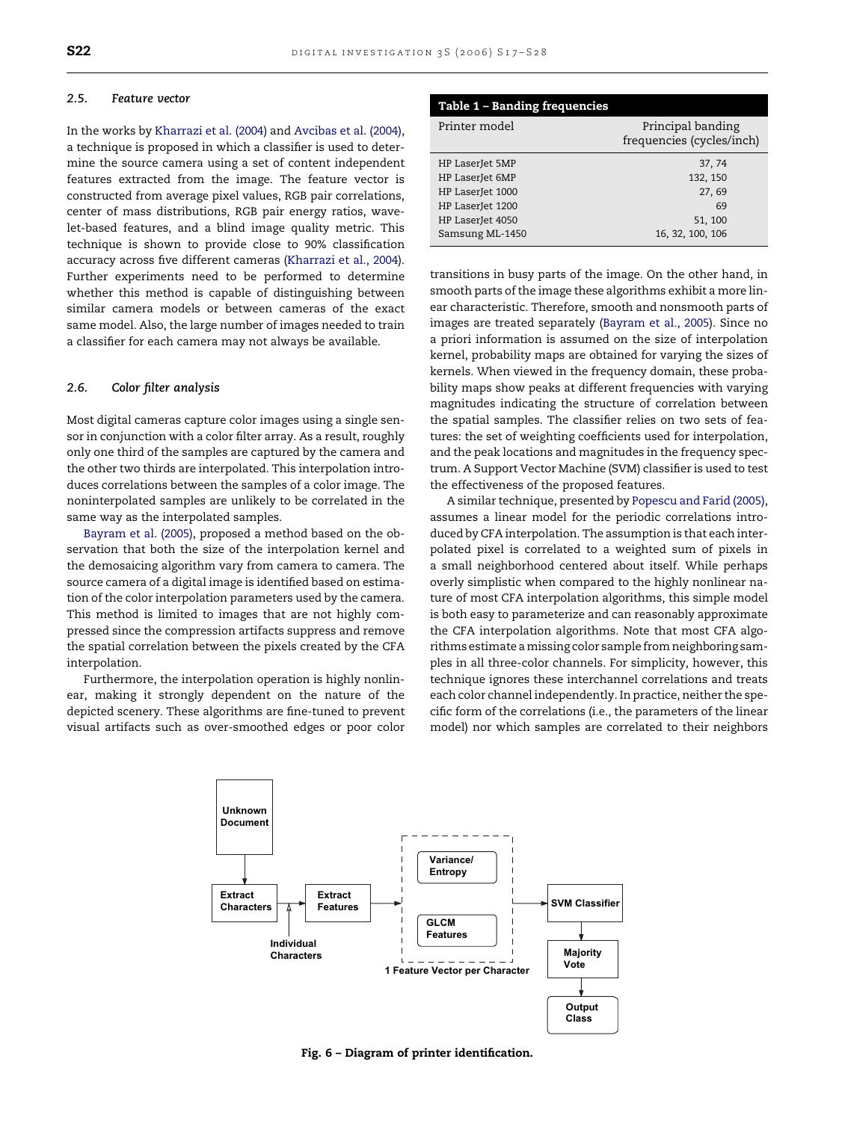#### <span id="page-5-0"></span>2.5. Feature vector

In the works by [Kharrazi et al. \(2004\)](#page-10-0) and [Avcibas et al. \(2004\)](#page-9-0), a technique is proposed in which a classifier is used to determine the source camera using a set of content independent features extracted from the image. The feature vector is constructed from average pixel values, RGB pair correlations, center of mass distributions, RGB pair energy ratios, wavelet-based features, and a blind image quality metric. This technique is shown to provide close to 90% classification accuracy across five different cameras [\(Kharrazi et al., 2004\)](#page-10-0). Further experiments need to be performed to determine whether this method is capable of distinguishing between similar camera models or between cameras of the exact same model. Also, the large number of images needed to train a classifier for each camera may not always be available.

## 2.6. Color filter analysis

Most digital cameras capture color images using a single sensor in conjunction with a color filter array. As a result, roughly only one third of the samples are captured by the camera and the other two thirds are interpolated. This interpolation introduces correlations between the samples of a color image. The noninterpolated samples are unlikely to be correlated in the same way as the interpolated samples.

[Bayram et al. \(2005\)](#page-9-0), proposed a method based on the observation that both the size of the interpolation kernel and the demosaicing algorithm vary from camera to camera. The source camera of a digital image is identified based on estimation of the color interpolation parameters used by the camera. This method is limited to images that are not highly compressed since the compression artifacts suppress and remove the spatial correlation between the pixels created by the CFA interpolation.

Furthermore, the interpolation operation is highly nonlinear, making it strongly dependent on the nature of the depicted scenery. These algorithms are fine-tuned to prevent visual artifacts such as over-smoothed edges or poor color

| Table 1 - Banding frequencies |                                                |
|-------------------------------|------------------------------------------------|
| Printer model                 | Principal banding<br>frequencies (cycles/inch) |
| HP LaserJet 5MP               | 37, 74                                         |
| HP LaserJet 6MP               | 132, 150                                       |
| HP LaserJet 1000              | 27,69                                          |
| HP LaserJet 1200              | 69                                             |
| HP LaserJet 4050              | 51, 100                                        |
| Samsung ML-1450               | 16, 32, 100, 106                               |

transitions in busy parts of the image. On the other hand, in smooth parts of the image these algorithms exhibit a more linear characteristic. Therefore, smooth and nonsmooth parts of images are treated separately ([Bayram et al., 2005\)](#page-9-0). Since no a priori information is assumed on the size of interpolation kernel, probability maps are obtained for varying the sizes of kernels. When viewed in the frequency domain, these probability maps show peaks at different frequencies with varying magnitudes indicating the structure of correlation between the spatial samples. The classifier relies on two sets of features: the set of weighting coefficients used for interpolation, and the peak locations and magnitudes in the frequency spectrum. A Support Vector Machine (SVM) classifier is used to test the effectiveness of the proposed features.

A similar technique, presented by [Popescu and Farid \(2005\)](#page-10-0), assumes a linear model for the periodic correlations introduced by CFA interpolation. The assumption is that each interpolated pixel is correlated to a weighted sum of pixels in a small neighborhood centered about itself. While perhaps overly simplistic when compared to the highly nonlinear nature of most CFA interpolation algorithms, this simple model is both easy to parameterize and can reasonably approximate the CFA interpolation algorithms. Note that most CFA algorithms estimate a missing color sample from neighboring samples in all three-color channels. For simplicity, however, this technique ignores these interchannel correlations and treats each color channel independently. In practice, neither the specific form of the correlations (i.e., the parameters of the linear model) nor which samples are correlated to their neighbors



Fig. 6 – Diagram of printer identification.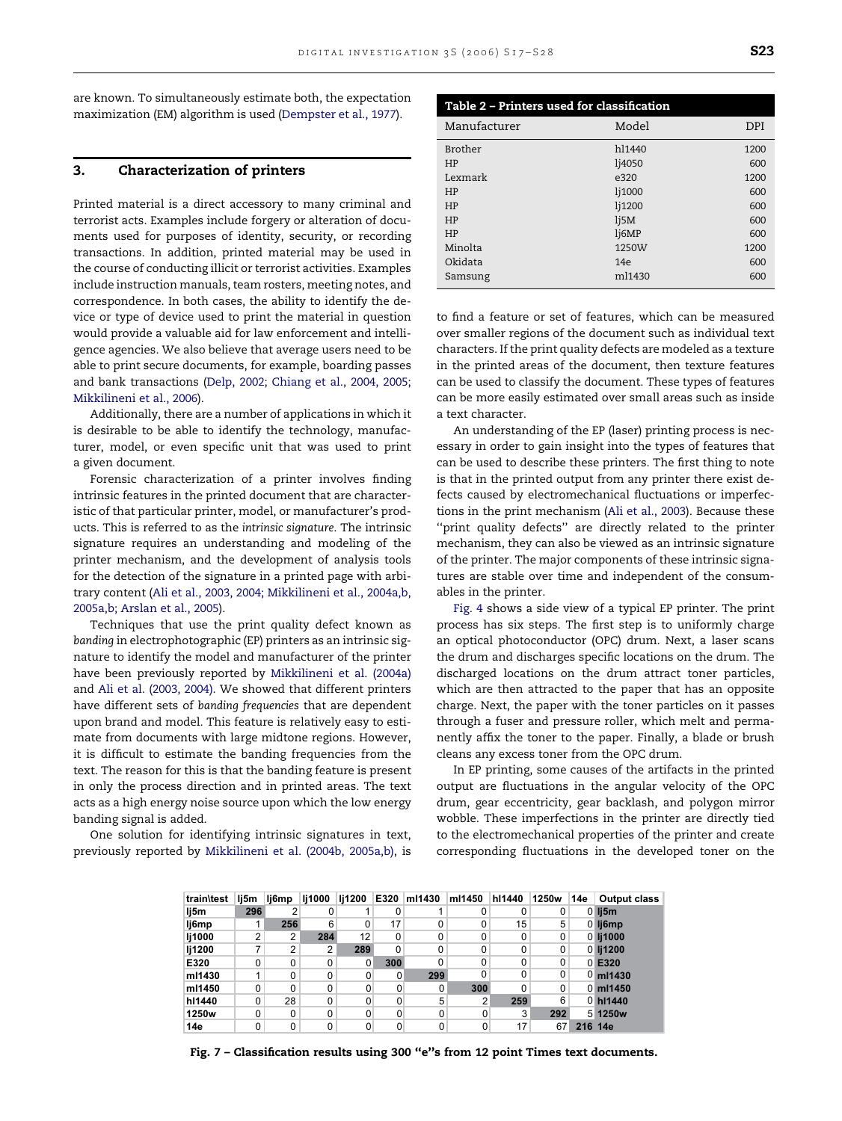<span id="page-6-0"></span>are known. To simultaneously estimate both, the expectation maximization (EM) algorithm is used [\(Dempster et al., 1977](#page-10-0)).

# 3. Characterization of printers

Printed material is a direct accessory to many criminal and terrorist acts. Examples include forgery or alteration of documents used for purposes of identity, security, or recording transactions. In addition, printed material may be used in the course of conducting illicit or terrorist activities. Examples include instruction manuals, team rosters, meeting notes, and correspondence. In both cases, the ability to identify the device or type of device used to print the material in question would provide a valuable aid for law enforcement and intelligence agencies. We also believe that average users need to be able to print secure documents, for example, boarding passes and bank transactions [\(Delp, 2002; Chiang et al., 2004, 2005;](#page-10-0) [Mikkilineni et al., 2006\)](#page-10-0).

Additionally, there are a number of applications in which it is desirable to be able to identify the technology, manufacturer, model, or even specific unit that was used to print a given document.

Forensic characterization of a printer involves finding intrinsic features in the printed document that are characteristic of that particular printer, model, or manufacturer's products. This is referred to as the intrinsic signature. The intrinsic signature requires an understanding and modeling of the printer mechanism, and the development of analysis tools for the detection of the signature in a printed page with arbitrary content [\(Ali et al., 2003, 2004; Mikkilineni et al., 2004a,b,](#page-9-0) [2005a,b; Arslan et al., 2005\)](#page-9-0).

Techniques that use the print quality defect known as banding in electrophotographic (EP) printers as an intrinsic signature to identify the model and manufacturer of the printer have been previously reported by [Mikkilineni et al. \(2004a\)](#page-10-0) and [Ali et al. \(2003, 2004\).](#page-9-0) We showed that different printers have different sets of banding frequencies that are dependent upon brand and model. This feature is relatively easy to estimate from documents with large midtone regions. However, it is difficult to estimate the banding frequencies from the text. The reason for this is that the banding feature is present in only the process direction and in printed areas. The text acts as a high energy noise source upon which the low energy banding signal is added.

One solution for identifying intrinsic signatures in text, previously reported by [Mikkilineni et al. \(2004b, 2005a,b\),](#page-10-0) is

| Table 2 - Printers used for classification |                   |            |  |  |  |
|--------------------------------------------|-------------------|------------|--|--|--|
| Manufacturer                               | Model             | <b>DPI</b> |  |  |  |
| <b>Brother</b>                             | h <sub>1440</sub> | 1200       |  |  |  |
| HP                                         | lj4050            | 600        |  |  |  |
| Lexmark                                    | e320              | 1200       |  |  |  |
| HP                                         | lj1000            | 600        |  |  |  |
| HP                                         | lj1200            | 600        |  |  |  |
| HP                                         | 1j5M              | 600        |  |  |  |
| HP                                         | lj6MP             | 600        |  |  |  |
| Minolta                                    | 1250W             | 1200       |  |  |  |
| Okidata                                    | 14e               | 600        |  |  |  |
| Samsung                                    | ml1430            | 600        |  |  |  |

to find a feature or set of features, which can be measured over smaller regions of the document such as individual text characters. If the print quality defects are modeled as a texture in the printed areas of the document, then texture features can be used to classify the document. These types of features can be more easily estimated over small areas such as inside a text character.

An understanding of the EP (laser) printing process is necessary in order to gain insight into the types of features that can be used to describe these printers. The first thing to note is that in the printed output from any printer there exist defects caused by electromechanical fluctuations or imperfections in the print mechanism [\(Ali et al., 2003](#page-9-0)). Because these ''print quality defects'' are directly related to the printer mechanism, they can also be viewed as an intrinsic signature of the printer. The major components of these intrinsic signatures are stable over time and independent of the consumables in the printer.

[Fig. 4](#page-3-0) shows a side view of a typical EP printer. The print process has six steps. The first step is to uniformly charge an optical photoconductor (OPC) drum. Next, a laser scans the drum and discharges specific locations on the drum. The discharged locations on the drum attract toner particles, which are then attracted to the paper that has an opposite charge. Next, the paper with the toner particles on it passes through a fuser and pressure roller, which melt and permanently affix the toner to the paper. Finally, a blade or brush cleans any excess toner from the OPC drum.

In EP printing, some causes of the artifacts in the printed output are fluctuations in the angular velocity of the OPC drum, gear eccentricity, gear backlash, and polygon mirror wobble. These imperfections in the printer are directly tied to the electromechanical properties of the printer and create corresponding fluctuations in the developed toner on the

| train\test        | lj5m | lj6mp | lj1000   | lj1200 | E320     | ml1430 | ml1450 | hl1440 | 1250w    | 14e | <b>Output class</b> |
|-------------------|------|-------|----------|--------|----------|--------|--------|--------|----------|-----|---------------------|
| lj5m              | 296  | 2     | 0        |        | 0        |        | 0      | 0      | 0        |     | $0$ lj5m            |
| lj6mp             |      | 256   | 6        | 0      | 17       | 0      | 0      | 15     | 5        |     | $0$ lj6mp           |
| lj1000            | 2    | 2     | 284      | 12     | O        | 0      | 0      |        | 0        |     | $0$ lj1000          |
| lj1200            |      | 2     | 2        | 289    | $\Omega$ | 0      |        |        | 0        |     | $0$ lj1200          |
| E320              |      | 0     | $\Omega$ | 0      | 300      | 0      |        | U      | $\Omega$ |     | 0 E320              |
| ml1430            |      | 0     | $\Omega$ | 0      | 0        | 299    | 0      |        | $\Omega$ |     | $0$ ml1430          |
| ml1450            |      | 0     | $\Omega$ | 0      | 0        | 0      | 300    |        | $\Omega$ |     | $0$ ml1450          |
| hl1440            | 0    | 28    | $\Omega$ | 0      | 0        | 5      | 2      | 259    | 6        |     | 0 hl1440            |
| 1250 <sub>w</sub> | 0    | 0     | $\Omega$ | 0      | $\Omega$ | 0      | N      | 3      | 292      |     | 5 1250w             |
| 14e               | 0    | 0     | 0        | 0      | 0        | 0      | 0      | 17     | 67       |     | 216 14e             |

Fig. 7 – Classification results using 300 ''e''s from 12 point Times text documents.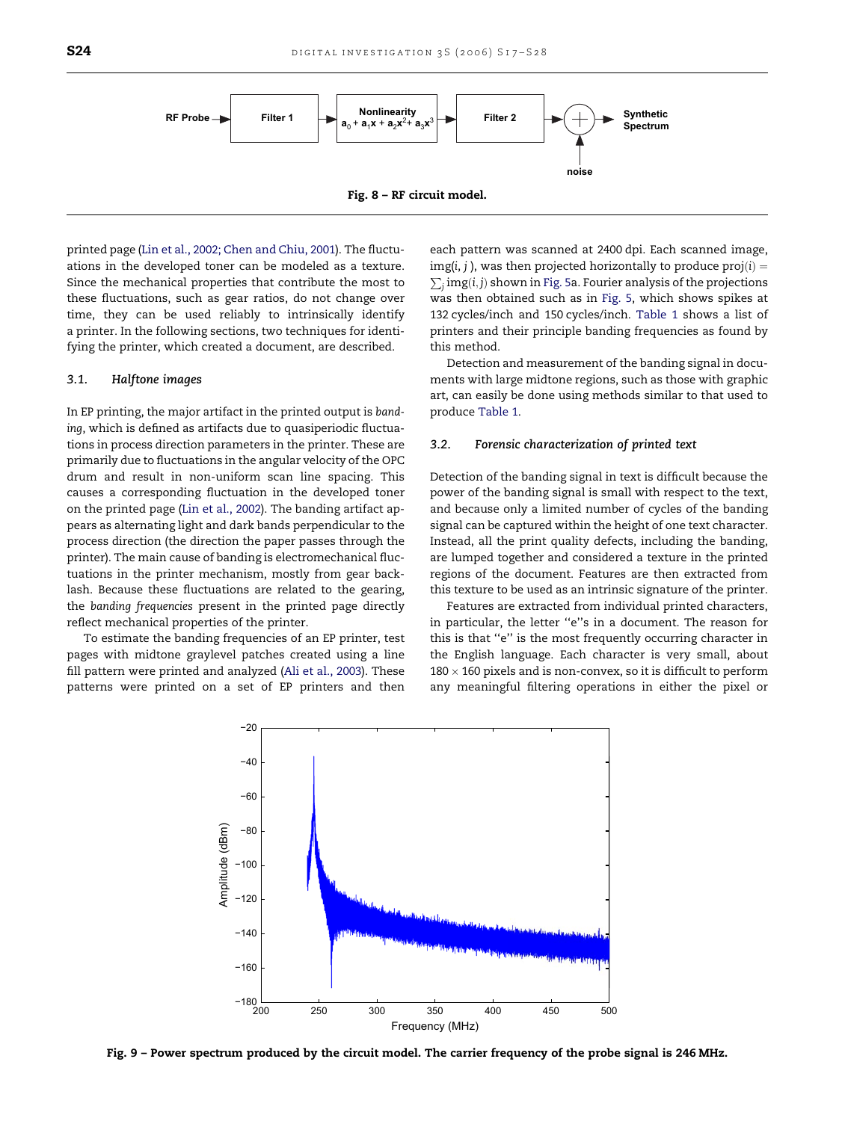<span id="page-7-0"></span>

printed page [\(Lin et al., 2002; Chen and Chiu, 2001](#page-10-0)). The fluctuations in the developed toner can be modeled as a texture. Since the mechanical properties that contribute the most to these fluctuations, such as gear ratios, do not change over time, they can be used reliably to intrinsically identify a printer. In the following sections, two techniques for identifying the printer, which created a document, are described.

#### 3.1. Halftone images

In EP printing, the major artifact in the printed output is banding, which is defined as artifacts due to quasiperiodic fluctuations in process direction parameters in the printer. These are primarily due to fluctuations in the angular velocity of the OPC drum and result in non-uniform scan line spacing. This causes a corresponding fluctuation in the developed toner on the printed page ([Lin et al., 2002\)](#page-10-0). The banding artifact appears as alternating light and dark bands perpendicular to the process direction (the direction the paper passes through the printer). The main cause of banding is electromechanical fluctuations in the printer mechanism, mostly from gear backlash. Because these fluctuations are related to the gearing, the banding frequencies present in the printed page directly reflect mechanical properties of the printer.

To estimate the banding frequencies of an EP printer, test pages with midtone graylevel patches created using a line fill pattern were printed and analyzed ([Ali et al., 2003\)](#page-9-0). These patterns were printed on a set of EP printers and then each pattern was scanned at 2400 dpi. Each scanned image, img(i, j), was then projected horizontally to produce  $proj(i)$  =  $\sum_j$  img $(i, j)$  shown in [Fig. 5](#page-4-0)a. Fourier analysis of the projections was then obtained such as in [Fig. 5](#page-4-0), which shows spikes at 132 cycles/inch and 150 cycles/inch. [Table 1](#page-5-0) shows a list of printers and their principle banding frequencies as found by this method.

Detection and measurement of the banding signal in documents with large midtone regions, such as those with graphic art, can easily be done using methods similar to that used to produce [Table 1.](#page-5-0)

#### 3.2. Forensic characterization of printed text

Detection of the banding signal in text is difficult because the power of the banding signal is small with respect to the text, and because only a limited number of cycles of the banding signal can be captured within the height of one text character. Instead, all the print quality defects, including the banding, are lumped together and considered a texture in the printed regions of the document. Features are then extracted from this texture to be used as an intrinsic signature of the printer.

Features are extracted from individual printed characters, in particular, the letter ''e''s in a document. The reason for this is that ''e'' is the most frequently occurring character in the English language. Each character is very small, about 180  $\times$  160 pixels and is non-convex, so it is difficult to perform any meaningful filtering operations in either the pixel or



Fig. 9 – Power spectrum produced by the circuit model. The carrier frequency of the probe signal is 246 MHz.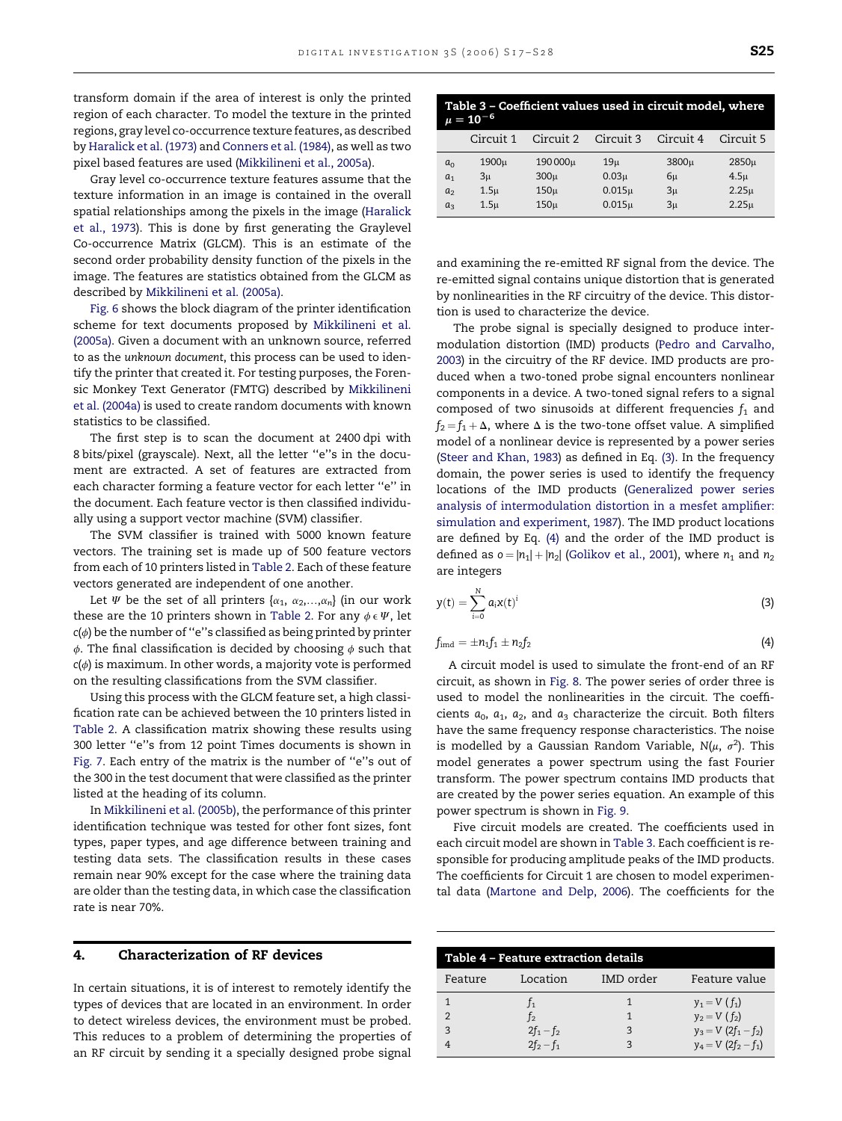<span id="page-8-0"></span>transform domain if the area of interest is only the printed region of each character. To model the texture in the printed regions, gray level co-occurrence texture features, as described by [Haralick et al. \(1973\)](#page-10-0) and [Conners et al. \(1984\)](#page-10-0), as well as two pixel based features are used [\(Mikkilineni et al., 2005a\)](#page-10-0).

Gray level co-occurrence texture features assume that the texture information in an image is contained in the overall spatial relationships among the pixels in the image [\(Haralick](#page-10-0) [et al., 1973](#page-10-0)). This is done by first generating the Graylevel Co-occurrence Matrix (GLCM). This is an estimate of the second order probability density function of the pixels in the image. The features are statistics obtained from the GLCM as described by [Mikkilineni et al. \(2005a\).](#page-10-0)

[Fig. 6](#page-5-0) shows the block diagram of the printer identification scheme for text documents proposed by [Mikkilineni et al.](#page-10-0) [\(2005a\).](#page-10-0) Given a document with an unknown source, referred to as the unknown document, this process can be used to identify the printer that created it. For testing purposes, the Forensic Monkey Text Generator (FMTG) described by [Mikkilineni](#page-10-0) [et al. \(2004a\)](#page-10-0) is used to create random documents with known statistics to be classified.

The first step is to scan the document at 2400 dpi with 8 bits/pixel (grayscale). Next, all the letter ''e''s in the document are extracted. A set of features are extracted from each character forming a feature vector for each letter ''e'' in the document. Each feature vector is then classified individually using a support vector machine (SVM) classifier.

The SVM classifier is trained with 5000 known feature vectors. The training set is made up of 500 feature vectors from each of 10 printers listed in [Table 2](#page-6-0). Each of these feature vectors generated are independent of one another.

Let  $\Psi$  be the set of all printers  $\{\alpha_1, \alpha_2, ..., \alpha_n\}$  (in our work these are the 10 printers shown in [Table 2.](#page-6-0) For any  $\phi \in \Psi$ , let  $c(\phi)$  be the number of "e"s classified as being printed by printer  $\phi$ . The final classification is decided by choosing  $\phi$  such that  $c(\phi)$  is maximum. In other words, a majority vote is performed on the resulting classifications from the SVM classifier.

Using this process with the GLCM feature set, a high classification rate can be achieved between the 10 printers listed in [Table 2.](#page-6-0) A classification matrix showing these results using 300 letter ''e''s from 12 point Times documents is shown in [Fig. 7.](#page-6-0) Each entry of the matrix is the number of ''e''s out of the 300 in the test document that were classified as the printer listed at the heading of its column.

In [Mikkilineni et al. \(2005b\)](#page-10-0), the performance of this printer identification technique was tested for other font sizes, font types, paper types, and age difference between training and testing data sets. The classification results in these cases remain near 90% except for the case where the training data are older than the testing data, in which case the classification rate is near 70%.

# 4. Characterization of RF devices

In certain situations, it is of interest to remotely identify the types of devices that are located in an environment. In order to detect wireless devices, the environment must be probed. This reduces to a problem of determining the properties of an RF circuit by sending it a specially designed probe signal

| Table 3 - Coefficient values used in circuit model, where |  |
|-----------------------------------------------------------|--|
| $\mu = 10^{-6}$                                           |  |

|                | Circuit 1        | Circuit 2        | Circuit 3  | Circuit 4 | Circuit 5        |
|----------------|------------------|------------------|------------|-----------|------------------|
| a <sub>0</sub> | $1900\mu$        | 190000µ          | $19\mu$    | $3800\mu$ | $2850\mu$        |
| a <sub>1</sub> | $3\mu$           | $300\mu$         | $0.03\mu$  | 6μ        | 4.5 <sub>µ</sub> |
| a <sub>2</sub> | 1.5 <sub>µ</sub> | 150 <sub>µ</sub> | $0.015\mu$ | $3\mu$    | $2.25\mu$        |
| $a_3$          | 1.5 <sub>µ</sub> | 150 <sub>µ</sub> | $0.015\mu$ | $3\mu$    | $2.25\mu$        |
|                |                  |                  |            |           |                  |

and examining the re-emitted RF signal from the device. The re-emitted signal contains unique distortion that is generated by nonlinearities in the RF circuitry of the device. This distortion is used to characterize the device.

The probe signal is specially designed to produce intermodulation distortion (IMD) products [\(Pedro and Carvalho,](#page-10-0) [2003](#page-10-0)) in the circuitry of the RF device. IMD products are produced when a two-toned probe signal encounters nonlinear components in a device. A two-toned signal refers to a signal composed of two sinusoids at different frequencies  $f_1$  and  $f_2 = f_1 + \Delta$ , where  $\Delta$  is the two-tone offset value. A simplified model of a nonlinear device is represented by a power series [\(Steer and Khan, 1983\)](#page-10-0) as defined in Eq. (3). In the frequency domain, the power series is used to identify the frequency locations of the IMD products [\(Generalized power series](#page-10-0) [analysis of intermodulation distortion in a mesfet amplifier:](#page-10-0) [simulation and experiment, 1987](#page-10-0)). The IMD product locations are defined by Eq. (4) and the order of the IMD product is defined as  $o = |n_1| + |n_2|$  ([Golikov et al., 2001](#page-10-0)), where  $n_1$  and  $n_2$ are integers

$$
y(t) = \sum_{i=0}^{N} a_i x(t)^i
$$
 (3)

$$
f_{\rm imd} = \pm n_1 f_1 \pm n_2 f_2 \tag{4}
$$

A circuit model is used to simulate the front-end of an RF circuit, as shown in [Fig. 8.](#page-7-0) The power series of order three is used to model the nonlinearities in the circuit. The coefficients  $a_0$ ,  $a_1$ ,  $a_2$ , and  $a_3$  characterize the circuit. Both filters have the same frequency response characteristics. The noise is modelled by a Gaussian Random Variable, N( $\mu$ ,  $\sigma^2$ ). This model generates a power spectrum using the fast Fourier transform. The power spectrum contains IMD products that are created by the power series equation. An example of this power spectrum is shown in [Fig. 9](#page-7-0).

Five circuit models are created. The coefficients used in each circuit model are shown in Table 3. Each coefficient is responsible for producing amplitude peaks of the IMD products. The coefficients for Circuit 1 are chosen to model experimental data ([Martone and Delp, 2006\)](#page-10-0). The coefficients for the

| <b>Table 4 – Feature extraction details</b> |                  |           |                       |  |  |  |
|---------------------------------------------|------------------|-----------|-----------------------|--|--|--|
| Feature                                     | Location         | IMD order | Feature value         |  |  |  |
|                                             |                  |           | $y_1 = V(f_1)$        |  |  |  |
| 2                                           | $\mathfrak{f}_2$ |           | $y_2 = V(f_2)$        |  |  |  |
| 3                                           | $2f_1 - f_2$     | κ         | $y_3 = V(2f_1 - f_2)$ |  |  |  |
|                                             | $2f_2 - f_1$     | κ         | $y_4 = V(2f_2 - f_1)$ |  |  |  |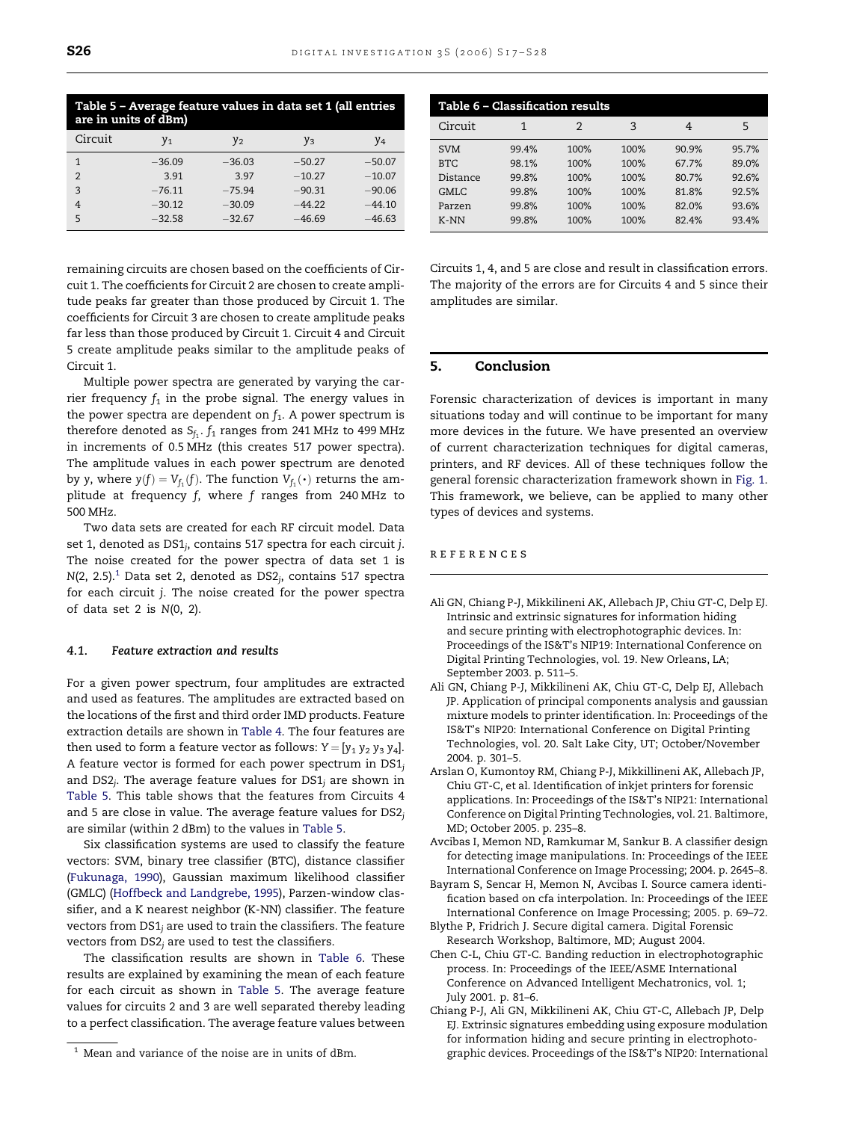<span id="page-9-0"></span>

| Table 5 - Average feature values in data set 1 (all entries<br>are in units of dBm) |          |          |                |                |  |  |
|-------------------------------------------------------------------------------------|----------|----------|----------------|----------------|--|--|
| Circuit                                                                             | $y_1$    | $y_2$    | y <sub>3</sub> | Y <sub>4</sub> |  |  |
| 1                                                                                   | $-36.09$ | $-36.03$ | $-50.27$       | $-50.07$       |  |  |
| $\mathfrak{D}$                                                                      | 3.91     | 397      | $-10.27$       | $-10.07$       |  |  |
| 3                                                                                   | $-76.11$ | $-75.94$ | $-90.31$       | $-90.06$       |  |  |
| 4                                                                                   | $-30.12$ | $-30.09$ | $-44.22$       | $-44.10$       |  |  |
| 5                                                                                   | $-32.58$ | $-32.67$ | $-46.69$       | $-46.63$       |  |  |

remaining circuits are chosen based on the coefficients of Circuit 1. The coefficients for Circuit 2 are chosen to create amplitude peaks far greater than those produced by Circuit 1. The coefficients for Circuit 3 are chosen to create amplitude peaks far less than those produced by Circuit 1. Circuit 4 and Circuit 5 create amplitude peaks similar to the amplitude peaks of Circuit 1.

Multiple power spectra are generated by varying the carrier frequency  $f_1$  in the probe signal. The energy values in the power spectra are dependent on  $f_1$ . A power spectrum is therefore denoted as  $S_{f_1}$ .  $f_1$  ranges from 241 MHz to 499 MHz in increments of 0.5 MHz (this creates 517 power spectra). The amplitude values in each power spectrum are denoted by y, where  $y(f) = V_{f_1}(f)$ . The function  $V_{f_1}(\cdot)$  returns the amplitude at frequency f, where f ranges from 240 MHz to 500 MHz.

Two data sets are created for each RF circuit model. Data set 1, denoted as  $DS1<sub>i</sub>$ , contains 517 spectra for each circuit j. The noise created for the power spectra of data set 1 is N(2, 2.5).<sup>1</sup> Data set 2, denoted as  $DS2<sub>i</sub>$ , contains 517 spectra for each circuit j. The noise created for the power spectra of data set 2 is  $N(0, 2)$ .

#### 4.1. Feature extraction and results

For a given power spectrum, four amplitudes are extracted and used as features. The amplitudes are extracted based on the locations of the first and third order IMD products. Feature extraction details are shown in [Table 4](#page-8-0). The four features are then used to form a feature vector as follows:  $Y = [y_1 y_2 y_3 y_4]$ . A feature vector is formed for each power spectrum in  $DS1<sub>j</sub>$ and DS2<sub>j</sub>. The average feature values for DS1<sub>j</sub> are shown in Table 5. This table shows that the features from Circuits 4 and 5 are close in value. The average feature values for  $DS2<sub>i</sub>$ are similar (within 2 dBm) to the values in Table 5.

Six classification systems are used to classify the feature vectors: SVM, binary tree classifier (BTC), distance classifier ([Fukunaga, 1990\)](#page-10-0), Gaussian maximum likelihood classifier (GMLC) [\(Hoffbeck and Landgrebe, 1995](#page-10-0)), Parzen-window classifier, and a K nearest neighbor (K-NN) classifier. The feature vectors from  $DS1_i$  are used to train the classifiers. The feature vectors from  $DS2<sub>i</sub>$  are used to test the classifiers.

The classification results are shown in Table 6. These results are explained by examining the mean of each feature for each circuit as shown in Table 5. The average feature values for circuits 2 and 3 are well separated thereby leading to a perfect classification. The average feature values between

| Table 6 - Classification results |       |      |      |       |       |
|----------------------------------|-------|------|------|-------|-------|
| Circuit                          | 1     | 2    | 3    | 4     | 5     |
| <b>SVM</b>                       | 99.4% | 100% | 100% | 90.9% | 95.7% |
| <b>BTC</b>                       | 98.1% | 100% | 100% | 67.7% | 89.0% |
| Distance                         | 99.8% | 100% | 100% | 80.7% | 92.6% |
| GMLC                             | 99.8% | 100% | 100% | 81.8% | 92.5% |
| Parzen                           | 99.8% | 100% | 100% | 82.0% | 93.6% |
| $K-NN$                           | 99.8% | 100% | 100% | 82.4% | 93.4% |

Circuits 1, 4, and 5 are close and result in classification errors. The majority of the errors are for Circuits 4 and 5 since their amplitudes are similar.

# 5. Conclusion

Forensic characterization of devices is important in many situations today and will continue to be important for many more devices in the future. We have presented an overview of current characterization techniques for digital cameras, printers, and RF devices. All of these techniques follow the general forensic characterization framework shown in [Fig. 1](#page-1-0). This framework, we believe, can be applied to many other types of devices and systems.

references

- Ali GN, Chiang P-J, Mikkilineni AK, Allebach JP, Chiu GT-C, Delp EJ. Intrinsic and extrinsic signatures for information hiding and secure printing with electrophotographic devices. In: Proceedings of the IS&T's NIP19: International Conference on Digital Printing Technologies, vol. 19. New Orleans, LA; September 2003. p. 511–5.
- Ali GN, Chiang P-J, Mikkilineni AK, Chiu GT-C, Delp EJ, Allebach JP. Application of principal components analysis and gaussian mixture models to printer identification. In: Proceedings of the IS&T's NIP20: International Conference on Digital Printing Technologies, vol. 20. Salt Lake City, UT; October/November 2004. p. 301–5.
- Arslan O, Kumontoy RM, Chiang P-J, Mikkillineni AK, Allebach JP, Chiu GT-C, et al. Identification of inkjet printers for forensic applications. In: Proceedings of the IS&T's NIP21: International Conference on Digital Printing Technologies, vol. 21. Baltimore, MD; October 2005. p. 235–8.
- Avcibas I, Memon ND, Ramkumar M, Sankur B. A classifier design for detecting image manipulations. In: Proceedings of the IEEE International Conference on Image Processing; 2004. p. 2645–8.
- Bayram S, Sencar H, Memon N, Avcibas I. Source camera identification based on cfa interpolation. In: Proceedings of the IEEE International Conference on Image Processing; 2005. p. 69–72.
- Blythe P, Fridrich J. Secure digital camera. Digital Forensic Research Workshop, Baltimore, MD; August 2004.
- Chen C-L, Chiu GT-C. Banding reduction in electrophotographic process. In: Proceedings of the IEEE/ASME International Conference on Advanced Intelligent Mechatronics, vol. 1; July 2001. p. 81–6.
- Chiang P-J, Ali GN, Mikkilineni AK, Chiu GT-C, Allebach JP, Delp EJ. Extrinsic signatures embedding using exposure modulation for information hiding and secure printing in electrophotographic devices. Proceedings of the IS&T's NIP20: International

 $^{\rm 1}$  Mean and variance of the noise are in units of dBm.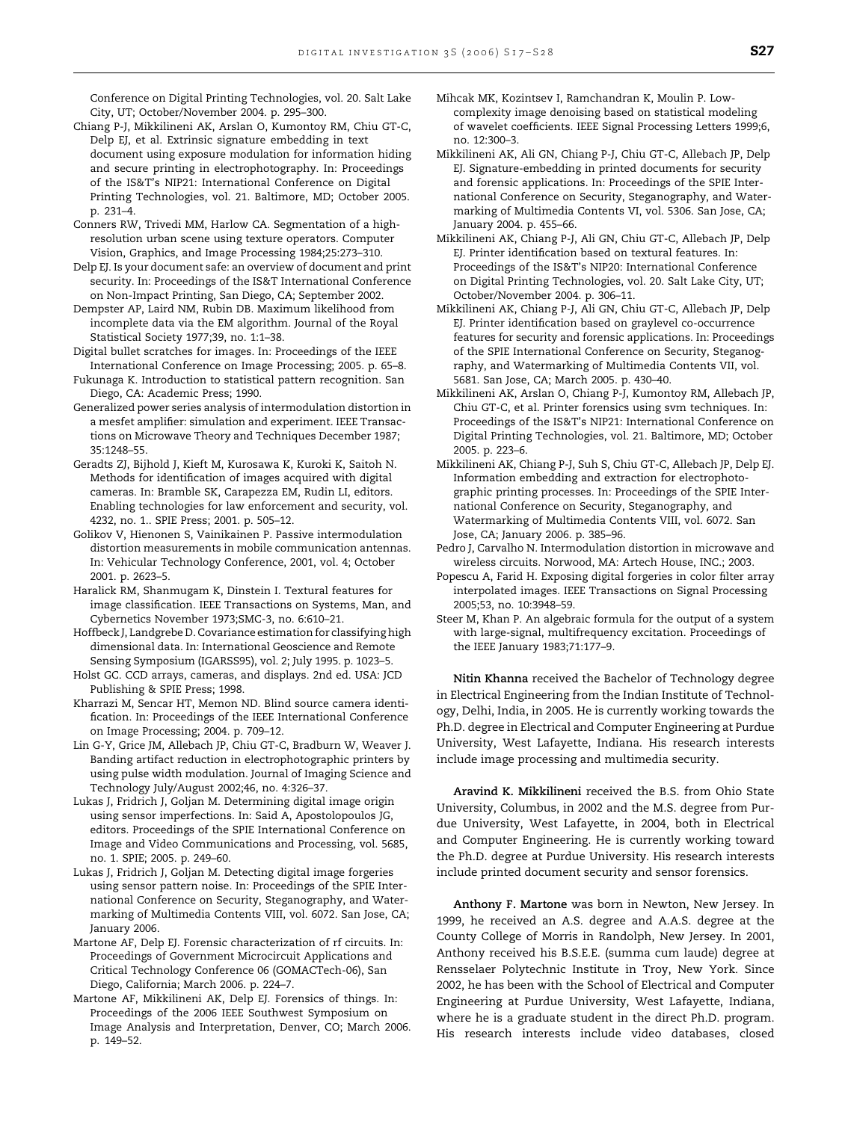<span id="page-10-0"></span>Conference on Digital Printing Technologies, vol. 20. Salt Lake City, UT; October/November 2004. p. 295–300.

- Chiang P-J, Mikkilineni AK, Arslan O, Kumontoy RM, Chiu GT-C, Delp EJ, et al. Extrinsic signature embedding in text document using exposure modulation for information hiding and secure printing in electrophotography. In: Proceedings of the IS&T's NIP21: International Conference on Digital Printing Technologies, vol. 21. Baltimore, MD; October 2005. p. 231–4.
- Conners RW, Trivedi MM, Harlow CA. Segmentation of a highresolution urban scene using texture operators. Computer Vision, Graphics, and Image Processing 1984;25:273–310.
- Delp EJ. Is your document safe: an overview of document and print security. In: Proceedings of the IS&T International Conference on Non-Impact Printing, San Diego, CA; September 2002.
- Dempster AP, Laird NM, Rubin DB. Maximum likelihood from incomplete data via the EM algorithm. Journal of the Royal Statistical Society 1977;39, no. 1:1–38.
- Digital bullet scratches for images. In: Proceedings of the IEEE International Conference on Image Processing; 2005. p. 65–8.
- Fukunaga K. Introduction to statistical pattern recognition. San Diego, CA: Academic Press; 1990.
- Generalized power series analysis of intermodulation distortion in a mesfet amplifier: simulation and experiment. IEEE Transactions on Microwave Theory and Techniques December 1987; 35:1248–55.
- Geradts ZJ, Bijhold J, Kieft M, Kurosawa K, Kuroki K, Saitoh N. Methods for identification of images acquired with digital cameras. In: Bramble SK, Carapezza EM, Rudin LI, editors. Enabling technologies for law enforcement and security, vol. 4232, no. 1.. SPIE Press; 2001. p. 505–12.
- Golikov V, Hienonen S, Vainikainen P. Passive intermodulation distortion measurements in mobile communication antennas. In: Vehicular Technology Conference, 2001, vol. 4; October 2001. p. 2623–5.
- Haralick RM, Shanmugam K, Dinstein I. Textural features for image classification. IEEE Transactions on Systems, Man, and Cybernetics November 1973;SMC-3, no. 6:610–21.
- Hoffbeck J, Landgrebe D. Covariance estimation for classifying high dimensional data. In: International Geoscience and Remote Sensing Symposium (IGARSS95), vol. 2; July 1995. p. 1023–5.
- Holst GC. CCD arrays, cameras, and displays. 2nd ed. USA: JCD Publishing & SPIE Press; 1998.
- Kharrazi M, Sencar HT, Memon ND. Blind source camera identification. In: Proceedings of the IEEE International Conference on Image Processing; 2004. p. 709–12.
- Lin G-Y, Grice JM, Allebach JP, Chiu GT-C, Bradburn W, Weaver J. Banding artifact reduction in electrophotographic printers by using pulse width modulation. Journal of Imaging Science and Technology July/August 2002;46, no. 4:326–37.
- Lukas J, Fridrich J, Goljan M. Determining digital image origin using sensor imperfections. In: Said A, Apostolopoulos JG, editors. Proceedings of the SPIE International Conference on Image and Video Communications and Processing, vol. 5685, no. 1. SPIE; 2005. p. 249–60.
- Lukas J, Fridrich J, Goljan M. Detecting digital image forgeries using sensor pattern noise. In: Proceedings of the SPIE International Conference on Security, Steganography, and Watermarking of Multimedia Contents VIII, vol. 6072. San Jose, CA; January 2006.
- Martone AF, Delp EJ. Forensic characterization of rf circuits. In: Proceedings of Government Microcircuit Applications and Critical Technology Conference 06 (GOMACTech-06), San Diego, California; March 2006. p. 224–7.
- Martone AF, Mikkilineni AK, Delp EJ. Forensics of things. In: Proceedings of the 2006 IEEE Southwest Symposium on Image Analysis and Interpretation, Denver, CO; March 2006. p. 149–52.
- Mihcak MK, Kozintsev I, Ramchandran K, Moulin P. Lowcomplexity image denoising based on statistical modeling of wavelet coefficients. IEEE Signal Processing Letters 1999;6, no. 12:300–3.
- Mikkilineni AK, Ali GN, Chiang P-J, Chiu GT-C, Allebach JP, Delp EJ. Signature-embedding in printed documents for security and forensic applications. In: Proceedings of the SPIE International Conference on Security, Steganography, and Watermarking of Multimedia Contents VI, vol. 5306. San Jose, CA; January 2004. p. 455–66.
- Mikkilineni AK, Chiang P-J, Ali GN, Chiu GT-C, Allebach JP, Delp EJ. Printer identification based on textural features. In: Proceedings of the IS&T's NIP20: International Conference on Digital Printing Technologies, vol. 20. Salt Lake City, UT; October/November 2004. p. 306–11.
- Mikkilineni AK, Chiang P-J, Ali GN, Chiu GT-C, Allebach JP, Delp EJ. Printer identification based on graylevel co-occurrence features for security and forensic applications. In: Proceedings of the SPIE International Conference on Security, Steganography, and Watermarking of Multimedia Contents VII, vol. 5681. San Jose, CA; March 2005. p. 430–40.
- Mikkilineni AK, Arslan O, Chiang P-J, Kumontoy RM, Allebach JP, Chiu GT-C, et al. Printer forensics using svm techniques. In: Proceedings of the IS&T's NIP21: International Conference on Digital Printing Technologies, vol. 21. Baltimore, MD; October 2005. p. 223–6.
- Mikkilineni AK, Chiang P-J, Suh S, Chiu GT-C, Allebach JP, Delp EJ. Information embedding and extraction for electrophotographic printing processes. In: Proceedings of the SPIE International Conference on Security, Steganography, and Watermarking of Multimedia Contents VIII, vol. 6072. San Jose, CA; January 2006. p. 385–96.
- Pedro J, Carvalho N. Intermodulation distortion in microwave and wireless circuits. Norwood, MA: Artech House, INC.; 2003.
- Popescu A, Farid H. Exposing digital forgeries in color filter array interpolated images. IEEE Transactions on Signal Processing 2005;53, no. 10:3948–59.
- Steer M, Khan P. An algebraic formula for the output of a system with large-signal, multifrequency excitation. Proceedings of the IEEE January 1983;71:177–9.

Nitin Khanna received the Bachelor of Technology degree in Electrical Engineering from the Indian Institute of Technology, Delhi, India, in 2005. He is currently working towards the Ph.D. degree in Electrical and Computer Engineering at Purdue University, West Lafayette, Indiana. His research interests include image processing and multimedia security.

Aravind K. Mikkilineni received the B.S. from Ohio State University, Columbus, in 2002 and the M.S. degree from Purdue University, West Lafayette, in 2004, both in Electrical and Computer Engineering. He is currently working toward the Ph.D. degree at Purdue University. His research interests include printed document security and sensor forensics.

Anthony F. Martone was born in Newton, New Jersey. In 1999, he received an A.S. degree and A.A.S. degree at the County College of Morris in Randolph, New Jersey. In 2001, Anthony received his B.S.E.E. (summa cum laude) degree at Rensselaer Polytechnic Institute in Troy, New York. Since 2002, he has been with the School of Electrical and Computer Engineering at Purdue University, West Lafayette, Indiana, where he is a graduate student in the direct Ph.D. program. His research interests include video databases, closed